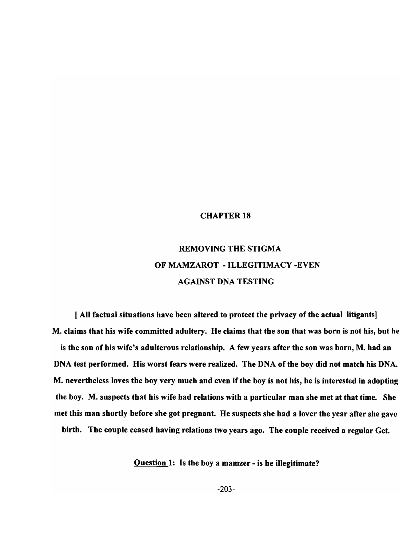# CHAPTER 18

# REMOVING THE STIGMA OF MAMZAROT - ILLEGITIMACY -EVEN AGAINST DNA TESTING

[ All factual situations have been altered to protect the privacy of the actual litigants) M. claims that his wife committed adultery. He claims that the son that was born is not his, but he is the son of his wife's adulterous relationship. A few years after the son was born, M. had an DNA test performed. His worst fears were realized. The DNA of the boy did not match his DNA. M. nevertheless loves the boy very much and even if the boy is not his, he is interested in adopting the boy. M. suspects that his wife had relations with a particular man she met at that time. She met this man shortly before she got pregnant. He suspects she had a lover the year after she gave birth. The couple ceased having relations two years ago. The couple received a regular Get.

Question 1: Is the boy a mamzer - is he illegitimate?

-203-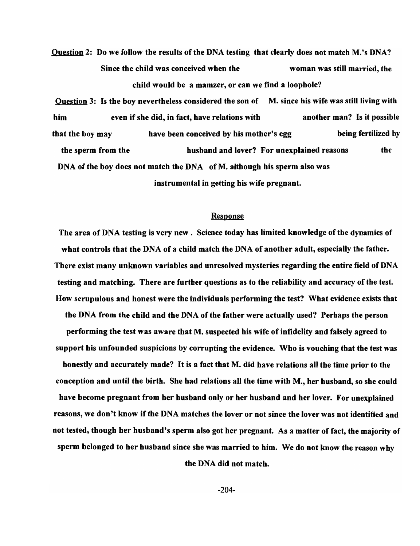Question 2: Do we follow the results of the DNA testing that clearly does not match M. 's DNA? Since the child was conceived when the woman was still married, the child would be a mamzer, or can we find a loophole?

Question 3: Is the boy nevertheless considered the son of M. since his wife was still living with him even if she did, in fact, have relations with another man? Is it possible that the boy may have been conceived by his mother's egg being fertilized by the sperm from the husband and lover? For unexplained reasons the DNA of the boy does not match the DNA of M. although his sperm also was instrumental in getting his wife pregnant.

#### Response

The area of DNA testing is very new. Science today has limited knowledge of the dynamics of what controls that the DNA of a child match the DNA of another adult, especially the father. There exist many unknown variables and unresolved mysteries regarding the entire field of DNA testing and matching. There are further questions as to the reliability and accuracy of the test. How scrupulous and honest were the individuals performing the test? What evidence exists that the DNA from the child and the DNA of the father were actually used? Perhaps the person performing the test was aware that M. suspected his wife of infidelity and falsely agreed to support his unfounded suspicions by corrupting the evidence. Who is vouching that the test was honestly and accurately made? It is a fact that M. did have relations all the time prior to the conception and until the birth. She had relations all the time with M., her husband, so she could have become pregnant from her husband only or her husband and her lover. For unexplained reasons, we don't know if the DNA matches the lover or not since the lover was not identified and not tested, though her husband's sperm also got her pregnant. As a matter of fact, the majority of sperm belonged to her husband since she was married to him. We do not know the reason why

the DNA did not match.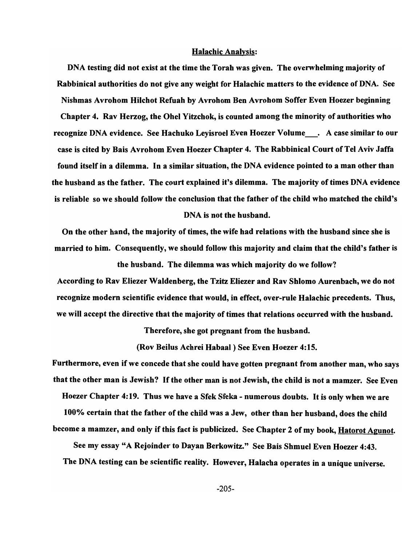#### Halachic Analysis:

DNA testing did not exist at the time the Torah was given. The overwhelming majority of Rabbinical authorities do not give any weight for Halachic matters to the evidence of DNA. See Nishmas Avrohom Hilchot Refuah by Avrohom Ben Avrohom Soffer Even Hoezer beginning Chapter 4. Rav Herzog, the Ohel Yitzchok, is counted among the minority of authorities who recognize DNA evidence. See Hachuko Leyisroel Even Hoezer Volume\_. A case similar to our case is cited by Dais Avrohom Even Hoezer Chapter 4. The Rabbinical Court of Tel Aviv Jaffa found itself in a dilemma. In a similar situation, the DNA evidence pointed to a man other than the husband as the father. The court explained it's dilemma. The majority of times DNA evidence is reliable so we should follow the conclusion that the father of the child who matched the child's DNA is not the husband.

On the other hand, the majority of times, the wife had relations with the husband since she is married to him. Consequently, we should follow this majority and claim that the child's father is

the husband. The dilemma was which majority do we follow? According to Rav Eliezer Waldenberg, the Tzitz Eliezer and Rav Shlomo Aurenbach, we do not recognize modern scientific evidence that would, in effect, over-rule Halachic precedents. Thus, we will accept the directive that the majority of times that relations occurred with the husband.

Therefore, she got pregnant from the husband.

(Rov Deilus Achrei Habaal) See Even Hoezer 4:15.

Furthermore, even if we concede that she could have gotten pregnant from another man, who says that the other man is Jewish? If the other man is not Jewish, the child is not a mamzer. See Even Hoezer Chapter 4:19. Thus we have a Sfek Sfeka - numerous doubts. It is only when we are 100% certain that the father of the child was a Jew, other than her husband, does the child become a mamzer, and only if this fact is publicized. See Chapter 2 of my book, Hatorot Agunot. See my essay "A Rejoinder to Dayan Berkowitz." See Bais Shmuel Even Hoezer 4:43. The DNA testing can be scientific reality. However, Halacha operates in a unique universe.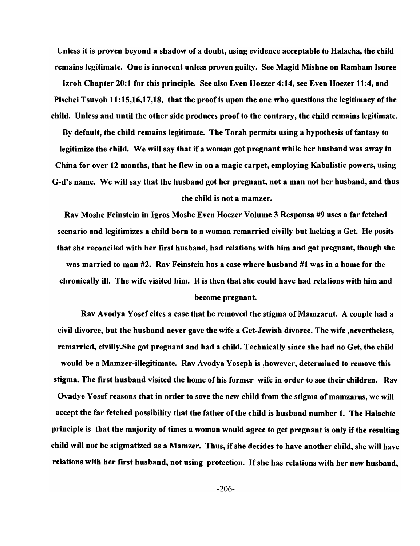Unless it is proven beyond a shadow of a doubt, using evidence acceptable to Halacha, the child remains legitimate. One is innocent unless proven guilty. See Magid Mishne on Rambam Isuree

Izroh Chapter 20:1 for this principle. See also Even Hoezer 4:14, see Even Hoezer 11:4, and Pischei Tsuvoh 11:15,16,17,18, that the proof is upon the one who questions the legitimacy of the child. Unless and until the other side produces proof to the contrary, the child remains legitimate.

By default, the child remains legitimate. The Torah permits using a hypothesis of fantasy to legitimize the child. We will say that if a woman got pregnant while her husband was away in China for over 12 months, that he flew in on a magic carpet, employing Kabalistic powers, using G-d's name. We will say that the husband got her pregnant, not a man not her husband, and thus the child is not a mamzer.

Rav Moshe Feinstein in Igros Moshe Even Hoezer Volume 3 Responsa #9 uses a far fetched scenario and legitimizes a child born to a woman remarried civilly but lacking a Get. He posits that she reconciled with her first husband, had relations with him and got pregnant, though she was married to man #2. Rav Feinstein has a case where husband #1 was in a home for the chronically ill. The wife visited him. It is then that she could have had relations with him and become pregnant.

Rav Avodya Y osef cites a case that he removed the stigma of Mamzarut. A couple had a civil divorce, but the husband never gave the wife a Get-Jewish divorce. The wife ,nevertheless, remarried, civilly.She got pregnant and had a child. Technically since she had no Get, the child would be a Mamzer-illegitimate. Rav Avodya Yoseph is ,however, determined to remove this stigma. The first husband visited the home of his former wife in order to see their children. Rav Ovadye Yosef reasons that in order to save the new child from the stigma of mamzarus, we will accept the far fetched possibility that the father of the child is husband number 1. The Halachic principle is that the majority of times a woman would agree to get pregnant is only if the resulting child will not be stigmatized as a Mamzer. Thus, if she decides to have another child, she will have relations with her first husband, not using protection. If she has relations with her new husband,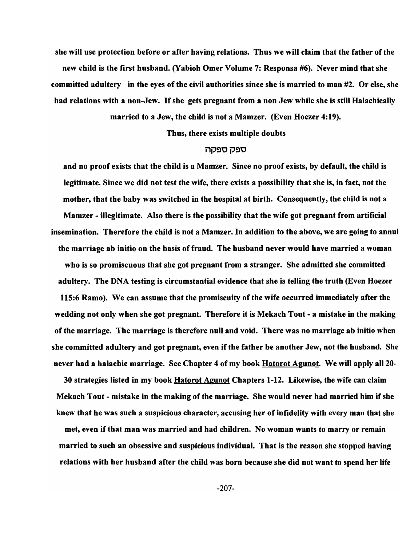she will use protection before or after having relations. Thus we will claim that the father of the new child is the first husband. (Yabioh Omer Volume 7: Responsa #6). Never mind that she committed adultery in the eyes of the civil authorities since she is married to man #2. Or else, she had relations with a non-Jew. If she gets pregnant from a non Jew while she is still Halachically married to a Jew, the child is not a Mamzer. (Even Hoezer 4:19).

#### Thus, there exists multiple doubts

#### ספק ספקה

and no proof exists that the child is a Mamzer. Since no proof exists, by default, the child is legitimate. Since we did not test the wife, there exists a possibility that she is, in fact, not the mother, that the baby was switched in the hospital at birth. Consequently, the child is not a Mamzer - illegitimate. Also there is the possibility that the wife got pregnant from artificial insemination. Therefore the child is not a Mamzer. In addition to the above, we are going to annul the marriage ab initio on the basis of fraud. The husband never would have married a woman who is so promiscuous that she got pregnant from a stranger. She admitted she committed adultery. The DNA testing is circumstantial evidence that she is telling the truth (Even Hoezer 115:6 Ramo). We can assume that the promiscuity of the wife occurred immediately after the wedding not only when she got pregnant. Therefore it is Mekach Tout - a mistake in the making of the marriage. The marriage is therefore null and void. There was no marriage ab initio when she committed adultery and got pregnant, even if the father be another Jew, not the husband. She never had a halachic marriage. See Chapter 4 of my book **Hatorot Agunot**. We will apply all 20-

30 strategies listed in my book Hatorot Agunot Chapters 1-12. Likewise, the wife can claim Mekach Tout - mistake in the making of the marriage. She would never had married him if she knew that he was such a suspicious character, accusing her of infidelity with every man that she

met, even if that man was married and had children. No woman wants to marry or remain married to such an obsessive and suspicious individual. That is the reason she stopped having relations with her husband after the child was born because she did not want to spend her life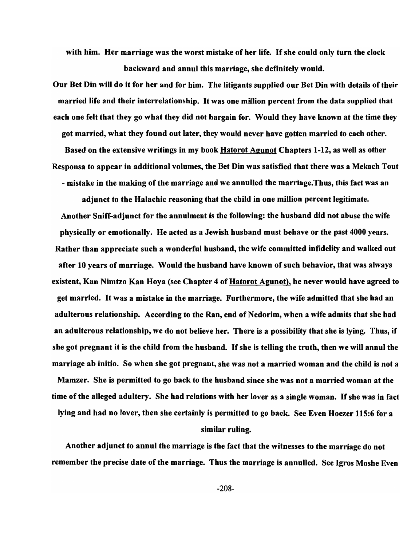with him. Her marriage was the worst mistake of her life. If she could only turn the clock backward and annul this marriage, she definitely would.

Our Bet Din will do it for her and for him. The litigants supplied our Bet Din with details of their married life and their interrelationship. It was one million percent from the data supplied that each one felt that they go what they did not bargain for. Would they have known at the time they got married, what they found out later, they would never have gotten married to each other.

Based on the extensive writings in my book Hatorot Agunot Chapters 1-12, as well as other Responsa to appear in additional volumes, the Bet Din was satisfied that there was a Mekach Tout - mistake in the making of the marriage and we annulled the marriage.Thus, this fact was an

adjunct to the Halachic reasoning that the child in one million percent legitimate. Another Sniff-adjunct for the annulment is the following: the husband did not abuse the wife physically or emotionally. He acted as a Jewish husband must behave or the past 4000 years. Rather than appreciate such a wonderful husband, the wife committed infidelity and walked out after 10 years of marriage. Would the husband have known of such behavior, that was always existent, Kan Nimtzo Kan Hoya (see Chapter 4 of Hatorot Agunot), he never would have agreed to get married. It was a mistake in the marriage. Furthermore, the wife admitted that she had an adulterous relationship. According to the Ran, end of Nedorim, when a wife admits that she had an adulterous relationship, we do not believe her. There is a possibility that she is lying. Thus, if she got pregnant it is the child from the husband. If she is telling the truth, then we will annul the marriage ab initio. So when she got pregnant, she was not a married woman and the child is not a

Mamzer. She is permitted to go back to the husband since she was not a married woman at the time of the alleged adultery. She had relations with her lover as a single woman. If she was in fact

lying and had no lover, then she certainly is permitted to go back. See Even Hoezer 115:6 for a

## similar ruling.

Another adjunct to annul the marriage is the fact that the witnesses to the marriage do not remember the precise date of the marriage. Thus the marriage is annulled. See Igros Moshe Even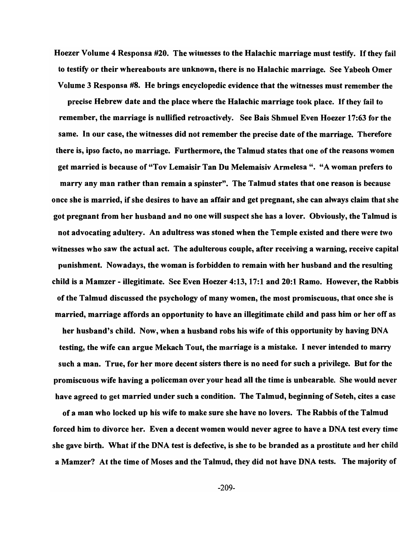Hoezer Volume 4 Responsa #20. The witnesses to the Halachic marriage must testify. If they fail to testify or their whereabouts are unknown, there is no Halachic marriage. See Yabeoh Omer

Volume 3 Responsa #8. He brings encyclopedic evidence that the witnesses must remember the

precise Hebrew date and the place where the Halachic marriage took place. If they fail to remember, the marriage is nullified retroactively. See Bais Shmuel Even Hoezer 17:63 for the same. In our case, the witnesses did not remember the precise date of the marriage. Therefore there is, ipso facto, no marriage. Furthermore, the Talmud states that one of the reasons women get married is because of "Tov Lemaisir Tan Du Melemaisiv Armelesa ". "A woman prefers to marry any man rather than remain a spinster". The Talmud states that one reason is because once she is married, if she desires to have an affair and get pregnant, she can always claim that she got pregnant from her husband and no one will suspect she has a lover. Obviously, the Talmud is not advocating adultery. An adultress was stoned when the Temple existed and there were two witnesses who saw the actual act. The adulterous couple, after receiving a warning, receive capital punishment. Nowadays, the woman is forbidden to remain with her husband and the resulting child is a Mamzer - illegitimate. See Even Hoezer 4:13, 17:1 and 20:1 Ramo. However, the Rabbis of the Talmud discussed the psychology of many women, the most promiscuous, that once she is married, marriage affords an opportunity to have an illegitimate child and pass him or her off as her husband's child. Now, when a husband robs his wife of this opportunity by having DNA testing, the wife can argue Mekach Tout, the marriage is a mistake. I never intended to marry such a man. True, for her more decent sisters there is no need for such a privilege. But for the promiscuous wife having a policeman over your head all the time is unbearable. She would never have agreed to get married under such a condition. The Talmud, beginning of Soteh, cites a case

of a man who locked up his wife to make sure she have no lovers. The Rabbis of the Talmud forced him to divorce her. Even a decent women would never agree to have a DNA test every time she gave birth. What if the DNA test is defective, is she to be branded as a prostitute and her child a Mamzer? At the time of Moses and the Talmud, they did not have DNA tests. The majority of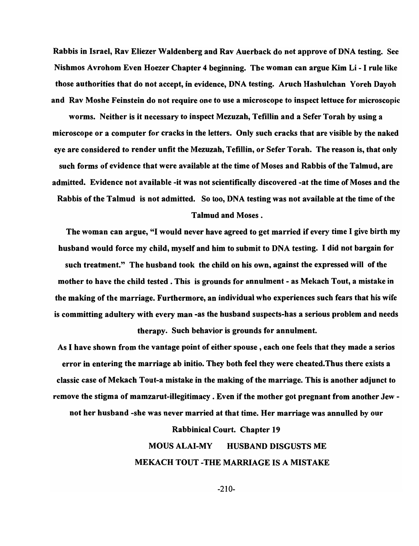Rabbis in Israel, Rav Eliezer Waldenberg and Rav Auerback do not approve of DNA testing. See Nishmos Avrohom Even Hoezer Chapter 4 beginning. The woman can argue Kim Li - I rule like those authorities that do not accept, in evidence, DNA testing. Aruch Hashulchan Y oreh Dayoh and Rav Moshe Feinstein do not require one to use a microscope to inspect lettuce for microscopic

worms. Neither is it necessary to inspect Mezuzah, Tefillin and a Sefer Torah by using a microscope or a computer for cracks in the letters. Only such cracks that are visible by the naked eye are considered to render unfit the Mezuzah, Tefillin, or Sefer Torah. The reason is, that only such forms of evidence that were available at the time of Moses and Rabbis of the Talmud, are admitted. Evidence not available -it was not scientifically discovered -at the time of Moses and the Rabbis of the Talmud is not admitted. So too, DNA testing was not available at the time of the Talmud and Moses.

The woman can argue, "I would never have agreed to get married if every time I give birth my husband would force my child, myself and him to submit to DNA testing. I did not bargain for such treatment." The husband took the child on his own, against the expressed will of the mother to have the child tested. This is grounds for annulment - as Mekach Tout, a mistake in the making of the marriage. Furthermore, an individual who experiences such fears that his wife is committing adultery with every man -as the husband suspects-has a serious problem and needs

therapy. Such behavior is grounds for annulment.

As I have shown from the vantage point of either spouse, each one feels that they made a serios error in entering the marriage ab initio. They both feel they were cheated.Thus there exists a classic case of Mekach Tout-a mistake in the making of the marriage. This is another adjunct to remove the stigma of mamzarut-illegitimacy . Even if the mother got pregnant from another Jew not her husband -she was never married at that time. Her marriage was annulled by our

Rabbinical Court. Chapter 19

# MOUS ALAI-MY HUSBAND DISGUSTS ME MEKACH TOUT -THE MARRIAGE IS A MISTAKE

-210-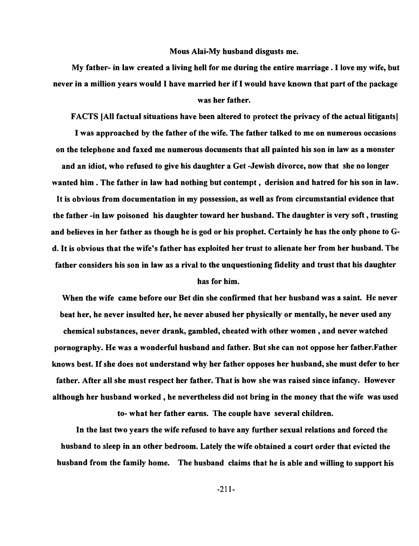#### Mous Alai-My husband disgusts me.

My father- in law created a living hell for me during the entire marriage. I love my wife, but never in a million years would I have married her if I would have known that part of the package was her father.

FACTS [All factual situations have been altered to protect the privacy of the actual litigants] I was approached by the father of the wife. The father talked to me on numerous occasions on the telephone and faxed me numerous documents that all painted his son in law as a monster and an idiot, who refused to give his daughter a Get -Jewish divorce, now that she no longer wanted him . The father in law had nothing but contempt, derision and hatred for his son in law. It is obvious from documentation in my possession, as well as from circumstantial evidence that the father -in law poisoned his daughter toward her husband. The daughter is very soft, trusting and believes in her father as though he is god or his prophet. Certainly he has the only phone to Gd. It is obvious that the wife's father has exploited her trust to alienate her from her husband. The father considers his son in law as a rival to the unquestioning fidelity and trust that his daughter has for him.

When the wife came before our Bet din she confirmed that her husband was a saint. He never beat her, he never insulted her, he never abused her physically or mentally, he never used any chemical substances, never drank, gambled, cheated with other women, and never watched pornography. He was a wonderful husband and father. But she can not oppose her father.Father knows best. If she does not understand why her father opposes her husband, she must defer to her father. After all she must respect her father. That is how she was raised since infancy. However although her husband worked, he nevertheless did not bring in the money that the wife was used

to- what her father earns. The couple have several children.

In the last two years the wife refused to have any further sexual relations and forced the husband to sleep in an other bedroom. Lately the wife obtained a court order that evicted the husband from the family home. The husband claims that he is able and willing to support his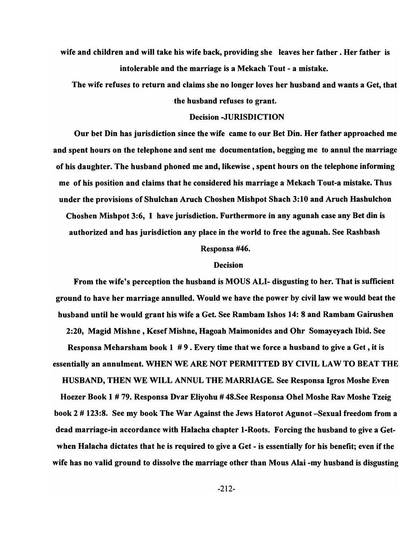wife and children and will take his wife back, providing she leaves her father. Her father is intolerable and the marriage is a Mekach Tout - a mistake.

The wife refuses to return and claims she no longer loves her husband and wants a Get, that the husband refuses to grant.

### Decision -JURISDICTION

Our bet Din has jurisdiction since the wife came to our Bet Din. Her father approached me and spent hours on the telephone and sent me documentation, begging me to annul the marriage of his daughter. The husband phoned me and, likewise, spent hours on the telephone informing me of his position and claims that he considered his marriage a Mekach Tout-a mistake. Thus under the provisions of Shulchan Aruch Choshen Mishpot Shach 3:10 and Aruch Hashulchon Choshen Mishpot 3:6, I have jurisdiction. Furthermore in any agunah case any Bet din is

authorized and has jurisdiction any place in the world to free the agunah. See Rashbash

Responsa #46.

### Decision

From the wife's perception the husband is MOUS ALI- disgusting to her. That is sufficient ground to have her marriage annulled. Would we have the power by civil law we would beat the husband until he would grant his wife a Get. See Rambam Ishos 14: 8 and Rambam Gairushen 2:20, Magid Mishne , Kesef Mishne, Hagoah Maimonides and Ohr Somayeyach Ibid. See Responsa Meharsham book  $1 \# 9$ . Every time that we force a husband to give a Get, it is essentially an annulment. WHEN WE ARE NOT PERMITTED BY CIVIL LAW TO BEAT THE HUSBAND, THEN WE WILL ANNUL THE MARRIAGE. See Responsa Igros Moshe Even Hoezer Book 1 # 79. Responsa Dvar Eliyohu # 48.See Responsa Ohel Moshe Rav Moshe Tzeig book 2 # 123:8. See my book The War Against the Jews Hatorot Agunot -Sexual freedom from a dead marriage-in accordance with Halacha chapter I-Roots. Forcing the husband to give a Getwhen Halacha dictates that he is required to give a Get - is essentially for his benefit; even if the wife has no valid ground to dissolve the marriage other than Mous Alai -my husband is disgusting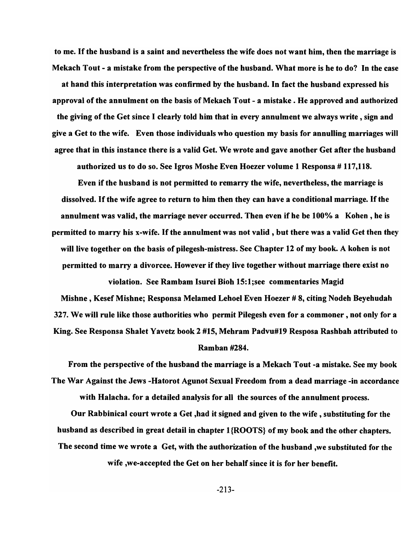to me. If the husband is a saint and nevertheless the wife does not want him, then the marriage is Mekach Tout - a mistake from the perspective of the husband. What more is he to do? In the case at hand this interpretation was confirmed by the husband. In fact the husband expressed his approval of the annulment on the basis of Mekach Tout - a mistake. He approved and authorized the giving of the Get since I clearly told him that in every annulment we always write, sign and give a Get to the wife. Even those individuals who question my basis for annulling marriages will agree that in this instance there is a valid Get. We wrote and gave another Get after the husband

authorized us to do so. See Igros Moshe Even Hoezer volume 1 Responsa # 117,118.

Even if the husband is not permitted to remarry the wife, nevertheless, the marriage is dissolved. If the wife agree to return to him then they can have a conditional marriage. If the annulment was valid, the marriage never occurred. Then even if he be 100% a Kohen, he is permitted to marry his x-wife. If the annulment was not valid, but there was a valid Get then they will live together on the basis of pilegesh-mistress. See Chapter 12 of my book. A kohen is not permitted to marry a divorcee. However if they live together without marriage there exist no

violation. See Rambam Isurei Bioh 15:1; see commentaries Magid Mishne , Kesef Mishne; Responsa Melamed Lehoel Even Hoezer # 8, citing Nodeh Beyehudah 327. We will rule like those authorities who permit Pilegesh even for a commoner, not only for a King. See Responsa Shalet Yavetz book 2 #15, Mehram Padvu#19 Resposa Rashbah attributed to Ramban #284.

From the perspective of the husband the marriage is a Mekach Tout -a mistake. See my book The War Against the Jews -Hatorot Agunot Sexual Freedom from a dead marriage -in accordance with Halacha. for a detailed analysis for all the sources of the annulment process.

Our Rabbinical court wrote a Get ,had it signed and given to the wife, substituting for the husband as described in great detail in chapter 1{ROOTS} of my book and the other chapters. The second time we wrote a Get, with the authorization of the husband ,we substituted for the wife ,we-accepted the Get on her behalf since it is for her benefit.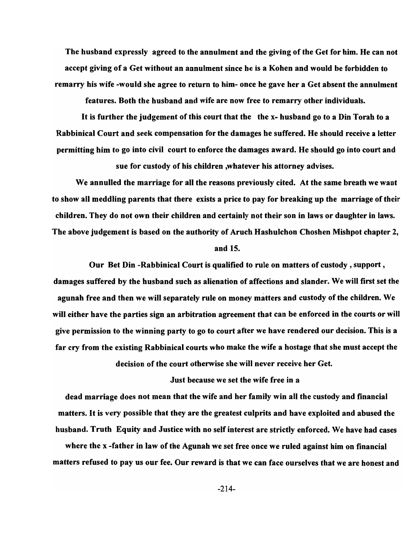The husband expressly agreed to the annulment and the giving of the Get for him. He can not accept giving of a Get without an annulment since he is a Kohen and would be forbidden to remarry his wife -would she agree to return to him- once he gave her a Get absent the annulment

features. Both the husband and wife are now free to remarry other individuals.

It is further the judgement of this court that the the x- husband go to a Din Torah to a Rabbinical Court and seek compensation for the damages he suffered. He should receive a letter permitting him to go into civil court to enforce the damages award. He should go into court and

sue for custody of his children ,whatever his attorney advises.

We annulled the marriage for all the reasons previously cited. At the same breath we want to show all meddling parents that there exists a price to pay for breaking up the marriage of their children. They do not own their children and certainly not their son in laws or daughter in laws. The above judgement is based on the authority of Aruch Hashulchon Choshen Mishpot chapter 2,

### and 15.

Our Bet Din -Rabbinical Court is qualified to rule on matters of custody, support, damages suffered by the husband such as alienation of affections and slander. We will first set the agunah free and then we will separately rule on money matters and custody of the children. We will either have the parties sign an arbitration agreement that can be enforced in the courts or will give permission to the winning party to go to court after we have rendered our decision. This is a far cry from the existing Rabbinical courts who make the wife a hostage that she must accept the

decision of the court otherwise she will never receive her Get.

## Just because we set the wife free in a

dead marriage does not mean that the wife and her family win all the custody and financial matters. It is very possible that they are the greatest culprits and have exploited and abused the husband. Truth Equity and Justice with no self interest are strictly enforced. We have had cases where the x -father in law of the Agunah we set free once we ruled against him on financial matters refused to pay us our fee. Our reward is that we can face ourselves that we are honest and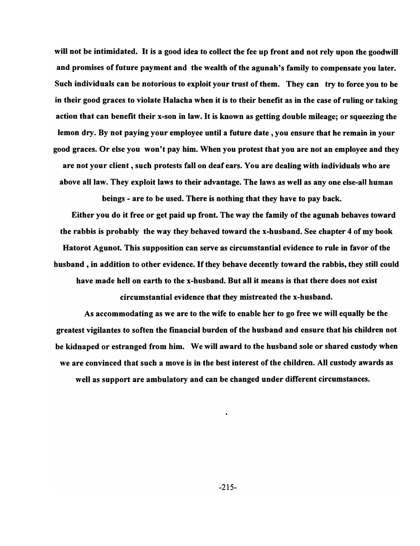will not be intimidated. It is a good idea to collect the fee up front and not rely upon the goodwill and promises of future payment and the wealth of the agunah's family to compensate you later. Such individuals can be notorious to exploit your trust of them. They can try to force you to be in their good graces to violate Halacha when it is to their benefit as in the case of ruling or taking action that can benefit their x-son in law. It is known as getting double mileage; or squeezing the lemon dry. By not paying your employee until a future date, you ensure that he remain in your good graces. Or else you won't pay him. When you protest that you are not an employee and they are not your client, such protests fall on deaf ears. You are dealing with individuals who are above all law. They exploit laws to their advantage. The laws as well as any one else-all human

beings - are to be used. There is nothing that they have to pay back.

Either you do it free or get paid up front. The way the family of the agunah behaves toward the rabbis is probably the way they behaved toward the x-husband. See chapter 4 of my book Hatorot Agunot. This supposition can serve as circumstantial evidence to rule in favor of the husband, in addition to other evidence. If they behave decently toward the rabbis, they still could have made hell on earth to the x-husband. But all it means is that there does not exist circumstantial evidence that they mistreated the x-husband.

As accommodating as we are to the wife to enable her to go free we will equally be the greatest vigilantes to soften the financial burden of the husband and ensure that his children not be kidnaped or estranged from him. We will award to the husband sole or shared custody when we are convinced that such a move is in the best interest of the children. All custody awards as well as support are ambulatory and can be changed under different circumstances.

-215-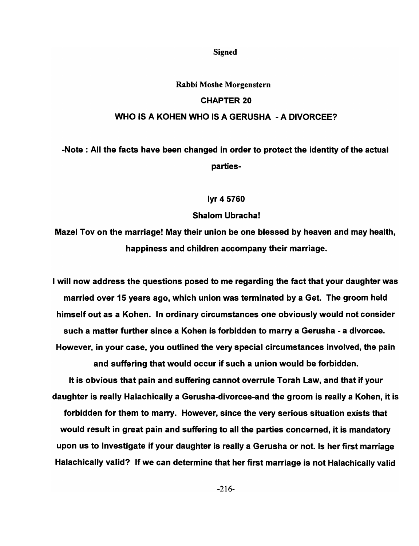**Signed** 

# Rabbi Moshe Morgenstern CHAPTER 20 WHO IS A KOHEN WHO IS A GERIJSHA - A DIVORCEE?

# -Note : All the facts have been changed in order to protect the identity of the actual parties-

# Iyr 45760

# Shalom Ubracha!

Mazel Tov on the marriage! May their union be one blessed by heaven and may health, happiness and children accompany their marriage.

I will now address the questions posed to me regarding the fact that your daughter was married over 15 years ago, which union was terminated by a Get. The groom held himself out as a Kohen. In ordinary circumstances one obviously would not consider such a matter further since a Kohen is forbidden to marry a Gerusha - a divorcee. However, in your case, you outlined the very special circumstances involved, the pain and suffering that would occur if such a union would be forbidden.

It is obvious that pain and suffering cannot overrule Torah Law, and that if your daughter is really Halachically a Gerusha-divorcee-and the groom is really a Kohen, it is forbidden for them to marry. However, since the very serious situation exists that would result in great pain and suffering to all the parties concerned, if is mandatory upon us to investigate if your daughter is really a Gerusha or not. Is her first marriage Halachically valid? If we can determine that her first marriage is not Halachically valid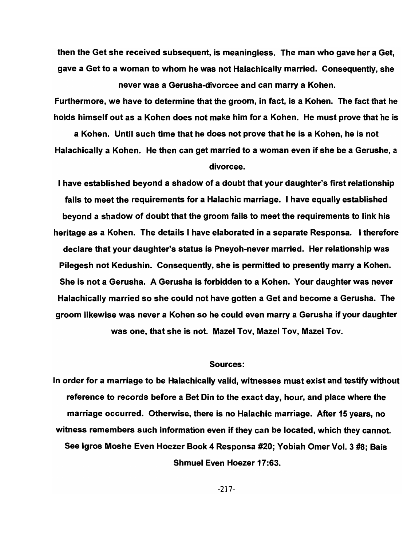then the Get she received subsequent, is meaningless. The man who gave her a Get, gave a Get to a woman to whom he was not Halachically married. Consequently, she never was a Gerusha-divorcee and can marry a Kohen.

Furthermore, we have to determine that the groom, in fact, is a Kohen. The fact that he holds himself out as a Kohen does not make him for a Kohen. He must prove that he is

a Kohen. Until such time that he does not prove that he is a Kohen, he is not Halachically a Kohen. He then can get married to a woman even if she be a Gerushe, a divorcee.

I have established beyond a shadow of a doubt that your daughter's first relationship fails to meet the requirements for a Halachic marriage. I have equally established beyond a shadow of doubt that the groom fails to meet the requirements to link his heritage as a Kohen. The details I have elaborated in a separate Responsa. I therefore declare that your daughter's status is Pneyoh-never married. Her relationship was Pilegesh not Kedushin. Consequently, she is permitted to presently marry a Kohen. She is not a Gerusha. A Gerusha is forbidden to a Kohen. Your daughter was never Halachically married so she could not have gotten a Get and become a Gerusha. The groom likewise was never a Kohen so he could even marry a Gerusha if your daughter was one, that she is not. Mazel Tov, Mazel Tov, Mazel Tov.

#### Sources:

In order for a marriage to be Halachically valid, witnesses must exist and testify without reference to records before a Bet Din to the exact day, hour, and place where the marriage occurred. Otherwise, there is no Halachic marriage. After 15 years, no witness remembers such information even if they can be located, which they cannot. See Igros Moshe Even Hoezer Book 4 Responsa #20; Yobiah Omer Vol. 3 #8; Bais Shmuel Even Hoezer 17:63.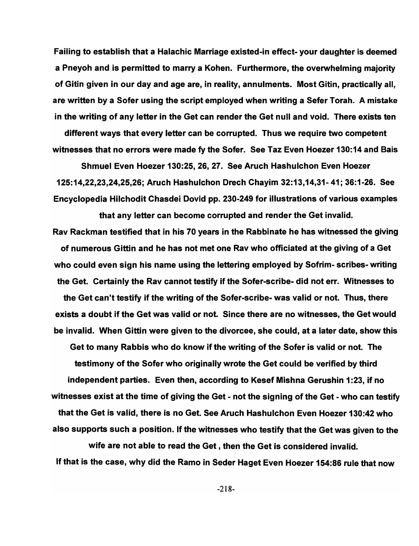Failing to establish that a Halachic Marriage existed-in effect- your daughter is deemed a Pneyoh and is permitted to marry a Kohen. Furthermore, the overwhelming majority of Gitin given in our day and age are, in reality, annulments. Most Gitin, practically all, are written by a Sofer using the script employed when writing a Sefer Torah. A mistake in the writing of any letter in the Get can render the Get null and void. There exists ten

different ways that every letter can be corrupted. Thus we require two competent witnesses that no errors were made fy the Sofer. See Taz Even Hoezer 130:14 and Bais

Shmuel Even Hoezer 130:25,26,27. See Aruch Hashulchon Even Hoezer 125:14,22,23,24,25,26; Aruch Hashulchon Drech Chayim 32:13,14,31- 41; 36:1-26. See Encyclopedia Hilchodit Chasdei Dovid pp. 230-249 for illustrations of various examples

that any letter can become corrupted and render the Get invalid. Rav Rackman testified that in his 70 years in the Rabbinate he has witnessed the giving of numerous Gittin and he has not met one Rav who officiated at the giving of a Get who could even sign his name using the lettering employed by Sofrim- scribes- writing the Get. Certainly the Rav cannot testify if the Sofer-scribe- did not err. Witnesses to the Get can't testify if the writing of the Sofer-scribe- was valid or not. Thus, there exists a doubt if the Get was valid or not. Since there are no witnesses, the Get would be invalid. When Gittin were given to the divorcee, she could, at a later date, show this

Get to many Rabbis who do know if the writing of the Sofer is valid or not. The testimony of the Sofer who originally wrote the Get could be verified by third independent parties. Even then, according to Kesef Mishna Gerushin 1:23, if no witnesses exist at the time of giving the Get - not the signing of the Get - who can testify that the Get is valid, there is no Get. See Aruch Hashulchon Even Hoezer 130:42 who also supports such a position. If the witnesses who testify that the Get was given to the

wife are not able to read the Get, then the Get is considered invalid. If that is the case, why did the Ramo in Seder Haget Even Hoezer 154:86 rule that now

-218-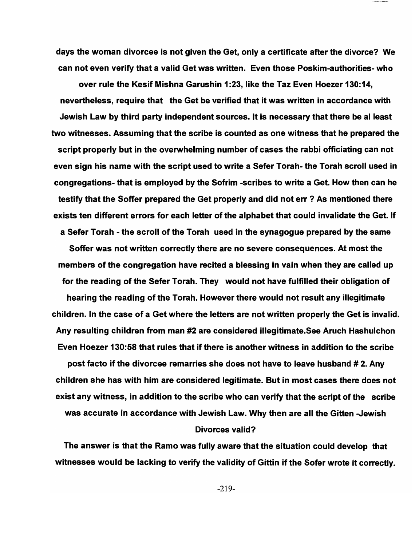days the woman divorcee is not given the Get, only a certificate after the divorce? We can not even verify that a valid Get was written. Even those Poskim-authorities- who

over rule the Kesif Mishna Garushin 1 :23, like the Taz Even Hoezer 130:14, nevertheless, require that the Get be verified that it was written in accordance with Jewish Law by third party independent sources. It is necessary that there be al least two witnesses. Assuming that the scribe is counted as one witness that he prepared the script properly but in the overwhelming number of cases the rabbi officiating can not even sign his name with the script used to write a Sefer Torah- the Torah scroll used in congregations- that is employed by the Sofrim -scribes to write a Get. How then can he testify that the Soffer prepared the Get properly and did not err? As mentioned there exists ten different errors for each letter of the alphabet that could invalidate the Get. If

Soffer was not written correctly there are no severe consequences. At most the members of the congregation have recited a blessing in vain when they are called up for the reading of the Sefer Torah. They would not have fulfilled their obligation of hearing the reading of the Torah. However there would not result any illegitimate children. In the case of a Get where the letters are not written properly the Get is invalid. Any resulting children from man #2 are considered illegitimate.See Aruch Hashulchon Even Hoezer 130:58 that rules that if there is another witness in addition to the scribe

a Sefer Torah - the scroll of the Torah used in the synagogue prepared by the same

post facto if the divorcee remarries she does not have to leave husband # 2. Any children she has with him are considered legitimate. But in most cases there does not exist any witness, in addition to the scribe who can verify that the script of the scribe was accurate in accordance with Jewish Law. Why then are all the Gitten -Jewish

#### Divorces valid?

The answer is that the Ramo was fully aware that the situation could develop that witnesses would be lacking to verify the validity of Gittin if the Sofer wrote it correctly.

-219-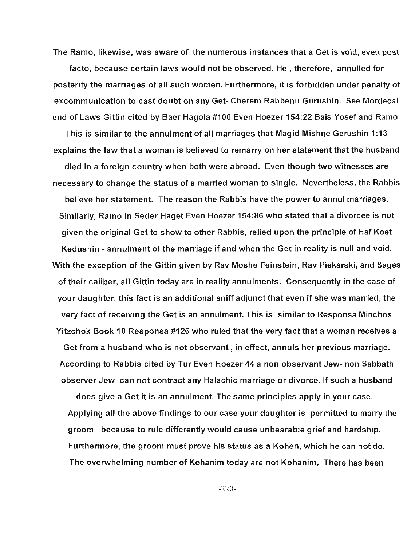The Ramo, likewise, was aware of the numerous instances that a Get is void, even post

facto, because certain laws would not be observed. He, therefore, annulled for posterity the marriages of all such women. Furthermore, it is forbidden under penalty of excommunication to cast doubt on any Get- Cherem Rabbenu Gurushin. See Mordecai end of Laws Gittin cited by Baer Hagola #100 Even Hoezer 154:22 Bais Yosef and Ramo.

This is similar to the annulment of all marriages that Magid Mishne Gerushin 1:13 explains the law that a woman is believed to remarry on her statement that the husband died in a foreign country when both were abroad. Even though two witnesses are necessary to change the status of a married woman to single. Nevertheless, the Rabbis believe her statement. The reason the Rabbis have the power to annul marriages. Similarly, Ramo in Seder Haget Even Hoezer 154:86 who stated that a divorcee is not given the original Get to show to other Rabbis, relied upon the principle of Haf Koet Kedushin - annulment of the marriage if and when the Get in reality is null and void. With the exception of the Gittin given by Rav Moshe Feinstein, Rav Piekarski, and Sages of their caliber, all Gittin today are in reality annulments. Consequently in the case of your daughter, this fact is an additional sniff adjunct that even if she was married, the very fact of receiving the Get is an annulment. This is similar to Responsa Minchos Yitzchok Book 10 Responsa #126 who ruled that the very fact that a woman receives a Get from a husband who is not observant , in effect, annuls her previous marriage. According to Rabbis cited by Tur Even Hoezer 44 a non observant Jew- non Sabbath observer Jew can not contract any Halachic marriage or divorce. If such a husband

does give a Get it is an annulment. The same principles apply in your case. Applying all the above findings to our case your daughter is permitted to marry the groom because to rule differently would cause unbearable grief and hardship. Furthermore, the groom must prove his status as a Kohen, which he can not do. The overwhelming number of Kohanim today are not Kohanim. There has been

-220-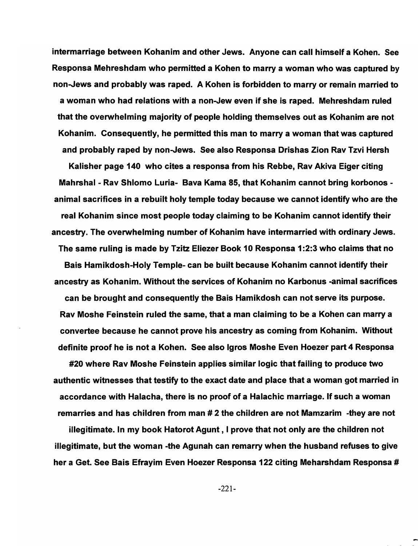intermarriage between Kohanim and other Jews. Anyone can call himself a Kohen. See Responsa Mehreshdam who permitted a Kohen to marry a woman who was captured by non-Jews and probably was raped. A Kohen is forbidden to marry or remain married to a woman who had relations with a non-Jew even if she is raped. Mehreshdam ruled that the overwhelming majority of people holding themselves out as Kohanim are not Kohanim. Consequently, he permitted this man to marry a woman that was captured and probably raped by non-Jews. See also Responsa Drishas Zion Rav Tzvi Hersh

Kalisher page 140 who cites a responsa from his Rebbe, Rav Akiva Eiger citing Mahrshal - Rav Shlomo Luria- Bava Kama 85, that Kohanim cannot bring korbonos animal sacrifices in a rebuilt holy temple today because we cannot identify who are the real Kohanim since most people today claiming to be Kohanim cannot identify their ancestry. The overwhelming number of Kohanim have intermarried with ordinary Jews. The same ruling is made by Tzitz Eliezer Book 10 Responsa 1:2:3 who claims that no Bais Hamikdosh-Holy Temple- can be built because Kohanim cannot identify their ancestry as Kohanim. Without the services of Kohanim no Karbonus -animal sacrifices can be brought and consequently the Bais Hamikdosh can not serve its purpose. Rav Moshe Feinstein ruled the same, that a man claiming to be a Kohen can marry a convertee because he cannot prove his ancestry as coming from Kohanim. Without definite proof he is not a Kohen. See also Igros Moshe Even Hoezer part 4 Responsa

#20 where Rav Moshe Feinstein applies similar logic that failing to produce two authentic witnesses that testify to the exact date and place that a woman got married in accordance with Halacha, there is no proof of a Halachic marriage. If such a woman remarries and has children from man # 2 the children are not Mamzarim -they are not

illegitimate. In my book Hatorot Agunt , I prove that not only are the children not illegitimate, but the woman -the Agunah can remarry when the husband refuses to give her a Get. See Bais Efrayim Even Hoezer Responsa 122 citing Meharshdam Responsa #

-221-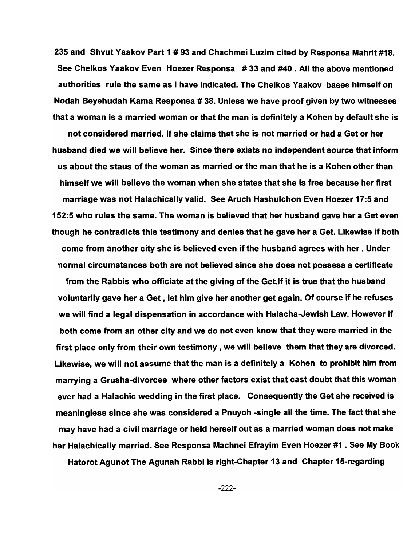235 and Shvut Yaakov Part 1 # 93 and Chachmei Luzim cited by Responsa Mahrit #18. See Chelkos Yaakov Even Hoezer Responsa # 33 and #40 . All the above mentioned authorities rule the same as I have indicated. The Chelkos Yaakov bases himself on Nodah Beyehudah Kama Responsa # 38. Unless we have proof given by two witnesses that a woman is a married woman or that the man is definitely a Kohen by default she is

not considered married. If she claims that she is not married or had a Get or her husband died we will believe her. Since there exists no independent source that inform us about the staus of the woman as married or the man that he is a Kohen other than himself we will believe the woman when she states that she is free because her first marriage was not Halachically valid. See Aruch Hashulchon Even Hoezer 17:5 and 152:5 who rules the same. The woman is believed that her husband gave her a Get even though he contradicts this testimony and denies that he gave her a Get. Likewise if both come from another city she is believed even if the husband agrees with her. Under normal circumstances both are not believed since she does not possess a certificate

from the Rabbis who officiate at the giving of the Get.lf it is true that the husband voluntarily gave her a Get, let him give her another get again. Of course if he refuses we will find a legal dispensation in accordance with Halacha-Jewish Law. However if both come from an other city and we do not even know that they were married in the first place only from their own testimony, we will believe them that they are divorced. Likewise, we will not assume that the man is a definitely a Kohen to prohibit him from marrying a Grusha-divorcee where other factors exist that cast doubt that this woman ever had a Halachic wedding in the first place. Consequently the Get she received is meaningless since she was considered a Pnuyoh -single all the time. The fact that she may have had a civil marriage or held herself out as a married woman does not make her Halachically married. See Responsa Machnei Efrayim Even Hoezer #1 . See My Book

Hatorot Agunot The Agunah Rabbi is right-Chapter 13 and Chapter 15-regarding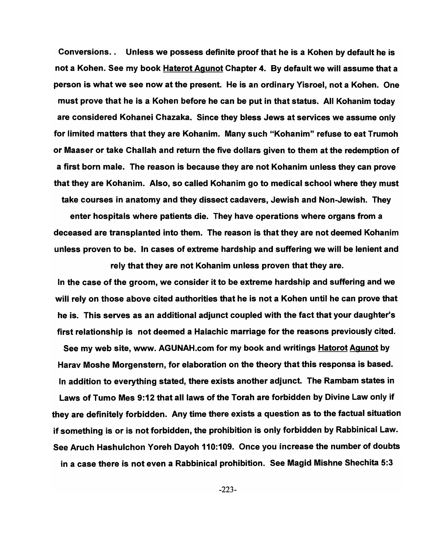Conversions.. Unless we possess definite proof that he is a Kohen by default he is not a Kohen. See my book Haterot Agunot Chapter 4. By default we will assume that a person is what we see now at the present. He is an ordinary Yisroel, not a Kohen. One must prove that he is a Kohen before he can be put in that status. All Kohanim today are considered Kohanei Chazaka. Since they bless Jews at services we assume only for limited matters that they are Kohanim. Many such "Kohanim" refuse to eat Trumoh or Maaser or take Challah and return the five dollars given to them at the redemption of a first born male. The reason is because they are not Kohanim unless they can prove that they are Kohanim. Also, so called Kohanim go to medical school where they must take courses in anatomy and they dissect cadavers, Jewish and Non-Jewish. They

enter hospitals where patients die. They have operations where organs from a deceased are transplanted into them. The reason is that they are not deemed Kohanim unless proven to be. In cases of extreme hardship and suffering we will be lenient and

rely that they are not Kohanim unless proven that they are. In the case of the groom, we consider it to be extreme hardship and suffering and we will rely on those above cited authorities that he is not a Kohen until he can prove that he is. This serves as an additional adjunct coupled with the fact that your daughter's first relationship is not deemed a Halachic marriage for the reasons previously cited. See my web site, www. AGUNAH.com for my book and writings Hatorot Agunot by Harav Moshe Morgenstern, for elaboration on the theory that this responsa is based. In addition to everything stated, there exists another adjunct. The Rambam states in Laws of Tumo Mes 9:12 that all laws of the Torah are forbidden by Divine Law only if they are definitely forbidden. Any time there exists a question as to the factual situation if something is or is not forbidden, the prohibition is only forbidden by Rabbinical Law. See Aruch Hashulchon Yoreh Dayoh 110:109. Once you increase the number of doubts in a case there is not even a Rabbinical prohibition. See Magid Mishne Shechita 5:3

-223-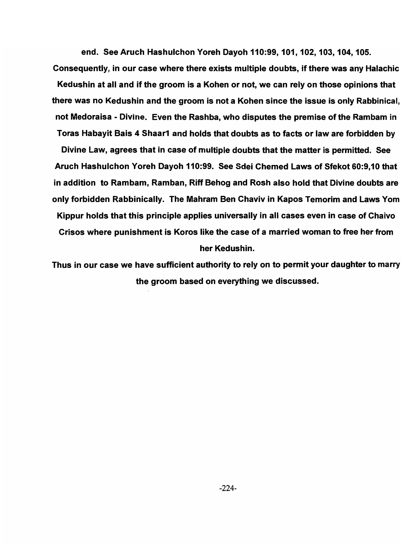end. See Aruch Hashulchon Yoreh Dayoh 110:99, 101, 102, 103, 104, 105. Consequently, in our case where there exists multiple doubts, if there was any Halachic Kedushin at all and if the groom is a Kohen or not, we can rely on those opinions that there was no Kedushin and the groom is not a Kohen since the issue is only Rabbinical, not Medoraisa - Divine. Even the Rashba, who disputes the premise of the Rambam in Toras Habayit Bais 4 Shaar1 and holds that doubts as to facts or law are forbidden by

Divine Law, agrees that in case of multiple doubts that the matter is permitted. See Aruch Hashulchon Yoreh Dayoh 110:99. See Sdei Chemed Laws of Sfekot 60:9,10 that in addition to Rambam, Ramban, Riff Behog and Rosh also hold that Divine doubts are only forbidden Rabbinically. The Mahram Ben Chaviv in Kapos Temorim and Laws Yom Kippur holds that this principle applies universally in all cases even in case of Chaivo Crisos where punishment is Koros like the case of a married woman to free her from her Kedushin.

Thus in our case we have sufficient authority to rely on to permit your daughter to marry the groom based on everything we discussed.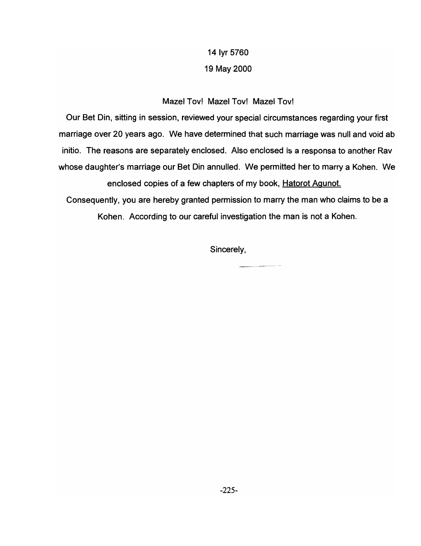# 14 lyr 5760 19 May 2000

# Mazel Tov! Mazel Tov! Mazel Tov!

Our Bet Din, sitting in session, reviewed your special circumstances regarding your first marriage over 20 years ago. We have determined that such marriage was null and void ab initio. The reasons are separately enclosed. Also enclosed is a responsa to another Rav whose daughter's marriage our Bet Din annulled. We permitted her to marry a Kohen. We

enclosed copies of a few chapters of my book, Hatorot Agunot.

Consequently, you are hereby granted permission to marry the man who claims to be a Kohen. According to our careful investigation the man is not a Kohen.

Sincerely,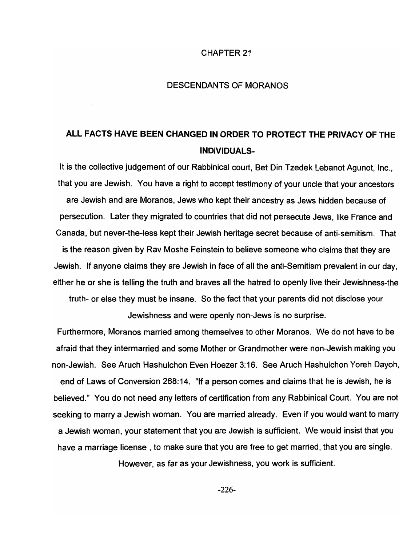# CHAPTER 21

# DESCENDANTS OF MORANOS

# ALL FACTS HAVE BEEN CHANGED IN ORDER TO PROTECT THE PRIVACY OF THE INDIVIDUALS·

It is the collective judgement of our Rabbinical court, Bet Din Tzedek Lebanot Agunot, Inc., that you are Jewish. You have a right to accept testimony of your uncle that your ancestors are Jewish and are Moranos, Jews who kept their ancestry as Jews hidden because of persecution. Later they migrated to countries that did not persecute Jews, like France and Canada, but never-the-Iess kept their Jewish heritage secret because of anti-semitism. That is the reason given by Rav Moshe Feinstein to believe someone who claims that they are Jewish. If anyone claims they are Jewish in face of all the anti-Semitism prevalent in our day, either he or she is telling the truth and braves all the hatred to openly live their Jewishness-the truth- or else they must be insane. So the fact that your parents did not disclose your Jewishness and were openly non-Jews is no surprise.

Furthermore, Moranos married among themselves to other Moranos. We do not have to be afraid that they intermarried and some Mother or Grandmother were non-Jewish making you non-Jewish. See Aruch Hashulchon Even Hoezer 3:16. See Aruch Hashulchon Yoreh Dayoh, end of Laws of Conversion 268:14. "If a person comes and claims that he is Jewish, he is believed." You do not need any letters of certification from any Rabbinical Court. You are not seeking to marry a Jewish woman. You are married already. Even if you would want to marry a Jewish woman, your statement that you are Jewish is sufficient. We would insist that you have a marriage license, to make sure that you are free to get married, that you are single.

However, as far as your Jewishness, you work is sufficient.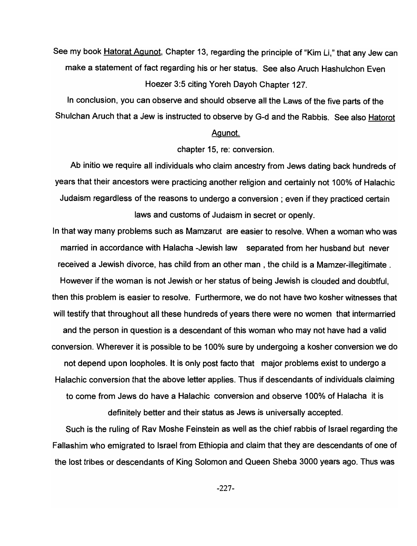See my book Hatorat Agunot, Chapter 13, regarding the principle of "Kim Li," that any Jew can make a statement of fact regarding his or her status. See also Aruch Hashulchon Even Hoezer 3:5 citing Yoreh Oayoh Chapter 127.

In conclusion, you can observe and should observe all the Laws of the five parts of the Shulchan Aruch that a Jew is instructed to observe by G-d and the Rabbis. See also Hatorot

#### Agunot.

# chapter 15, re: conversion.

Ab initio we require all individuals who claim ancestry from Jews dating back hundreds of years that their ancestors were practicing another religion and certainly not 100% of Halachic Judaism regardless of the reasons to undergo a conversion; even if they practiced certain laws and customs of Judaism in secret or openly.

In that way many problems such as Mamzarut are easier to resolve. When a woman who was married in accordance with Halacha -Jewish law separated from her husband but never received a Jewish divorce, has child from an other man, the child is a Mamzer-illegitimate . However if the woman is not Jewish or her status of being Jewish is clouded and doubtful, then this problem is easier to resolve. Furthermore, we do not have two kosher witnesses that will testify that throughout all these hundreds of years there were no women that intermarried and the person in question is a descendant of this woman who may not have had a valid conversion. Wherever it is possible to be 100% sure by undergoing a kosher conversion we do not depend upon loopholes. It is only post facto that major problems exist to undergo a Halachic conversion that the above letter applies. Thus if descendants of individuals claiming to come from Jews do have a Halachic conversion and observe 100% of Halacha it is definitely better and their status as Jews is universally accepted.

Such is the ruling of Rav Moshe Feinstein as well as the chief rabbis of Israel regarding the Fallashim who emigrated to Israel from Ethiopia and claim that they are descendants of one of the lost tribes or descendants of King Solomon and Queen Sheba 3000 years ago. Thus was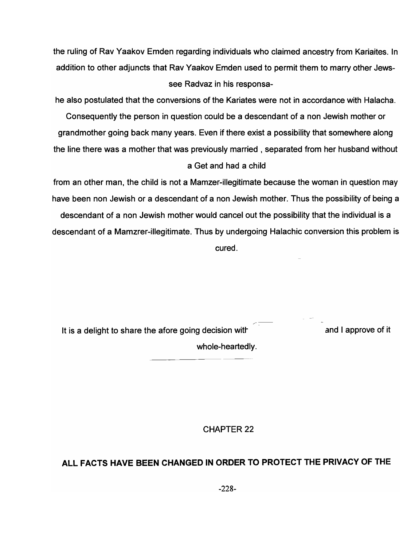the ruling of Rav Yaakov Emden regarding individuals who claimed ancestry from Kariaites. In addition to other adjuncts that Rav Yaakov Emden used to permit them to marry other Jewssee Radvaz in his responsa-

he also postulated that the conversions of the Kariates were not in accordance with Halacha. Consequently the person in question could be a descendant of a non Jewish mother or grandmother going back many years. Even if there exist a possibility that somewhere along the line there was a mother that was previously married, separated from her husband without a Get and had a child

from an other man, the child is not a Mamzer-illegitimate because the woman in question may have been non Jewish or a descendant of a non Jewish mother. Thus the possibility of being a descendant of a non Jewish mother would cancel out the possibility that the individual is a descendant of a Mamzrer-illegitimate. Thus by undergoing Halachic conversion this problem is cured.

 $\overline{\phantom{a}}$ It is a delight to share the afore going decision with whole-heartedly. and I approve of it

CHAPTER 22

# **ALL FACTS HAVE BEEN CHANGED IN ORDER TO PROTECT THE PRIVACY OF THE**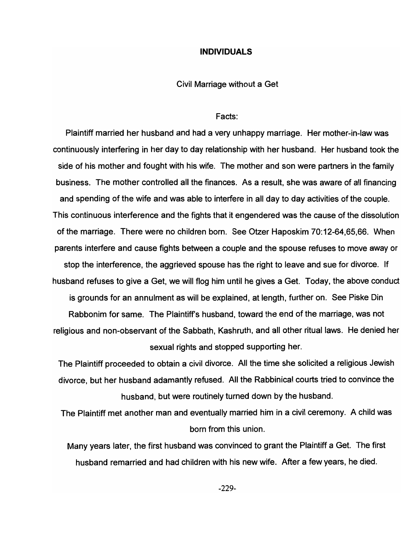# **INDIVIDUALS**

Civil Marriage without a Get

### Facts:

Plaintiff married her husband and had a very unhappy marriage. Her mother-in-law was continuously interfering in her day to day relationship with her husband. Her husband took the side of his mother and fought with his wife. The mother and son were partners in the family business. The mother controlled all the finances. As a result, she was aware of all financing and spending of the wife and was able to interfere in all day to day activities of the couple. This continuous interference and the fights that it engendered was the cause of the dissolution of the marriage. There were no children born. See Otzer Haposkim 70: 12-64,65,66. When parents interfere and cause fights between a couple and the spouse refuses to move away or stop the interference, the aggrieved spouse has the right to leave and sue for divorce. If husband refuses to give a Get, we will flog him until he gives a Get. Today, the above conduct is grounds for an annulment as will be explained, at length, further on. See Piske Din Rabbonim for same. The Plaintiff's husband, toward the end of the marriage, was not religious and non-observant of the Sabbath, Kashruth, and all other ritual laws. He denied her sexual rights and stopped supporting her.

The Plaintiff proceeded to obtain a civil divorce. All the time she solicited a religious Jewish divorce, but her husband adamantly refused. All the Rabbinical courts tried to convince the husband, but were routinely turned down by the husband.

The Plaintiff met another man and eventually married him in a civil ceremony. A child was born from this union.

Many years later, the first husband was convinced to grant the Plaintiff a Get. The first husband remarried and had children with his new wife. After a few years, he died.

-229-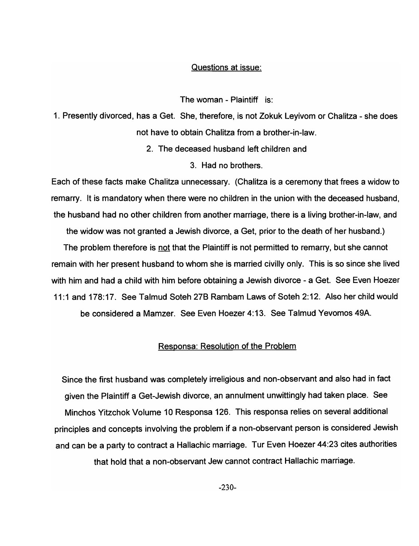### Questions at issue:

The woman - Plaintiff is:

1. Presently divorced, has a Get. She, therefore, is not Zokuk Leyivom or Chalitza - she does not have to obtain Chalitza from a brother-in-law.

- 2. The deceased husband left children and
	- 3. Had no brothers.

Each of these facts make Chalitza unnecessary. (Chalitza is a ceremony that frees a widow to remarry. It is mandatory when there were no children in the union with the deceased husband, the husband had no other children from another marriage, there is a living brother-in-law, and

the widow was not granted a Jewish divorce, a Get, prior to the death of her husband.) The problem therefore is not that the Plaintiff is not permitted to remarry, but she cannot remain with her present husband to whom she is married civilly only. This is so since she lived

with him and had a child with him before obtaining a Jewish divorce - a Get. See Even Hoezer 11:1 and 178:17. See Talmud Soteh 278 Rambam Laws of Soteh 2:12. Also her child would

be considered a Mamzer. See Even Hoezer 4:13. See Talmud Yevomos 49A.

# Responsa: Resolution of the Problem

Since the first husband was completely irreligious and non-observant and also had in fact given the Plaintiff a Get-Jewish divorce, an annulment unwittingly had taken place. See Minchos Yitzchok Volume 10 Responsa 126. This responsa relies on several additional principles and concepts involving the problem if a non-observant person is considered Jewish and can be a party to contract a Hallachic marriage. Tur Even Hoezer 44:23 cites authorities that hold that a non-observant Jew cannot contract Hallachic marriage.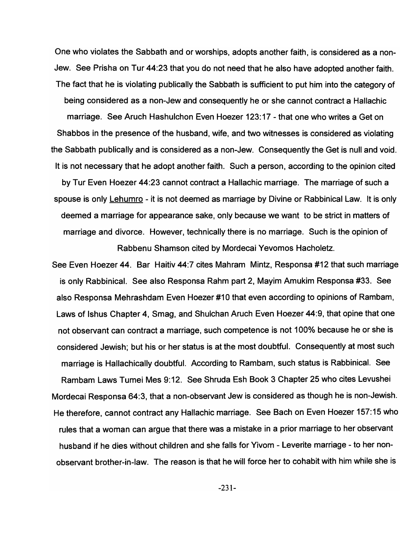One who violates the Sabbath and or worships, adopts another faith, is considered as a non-Jew. See Prisha on Tur 44:23 that you do not need that he also have adopted another faith. The fact that he is violating publically the Sabbath is sufficient to put him into the category of being considered as a non-Jew and consequently he or she cannot contract a Hallachic marriage. See Aruch Hashulchon Even Hoezer 123: 17 - that one who writes a Get on Shabbos in the presence of the husband, wife, and two witnesses is considered as violating the Sabbath publically and is considered as a non-Jew. Consequently the Get is null and void. It is not necessary that he adopt another faith. Such a person, according to the opinion cited by Tur Even Hoezer 44:23 cannot contract a Hallachic marriage. The marriage of such a spouse is only Lehumro - it is not deemed as marriage by Divine or Rabbinical Law. It is only deemed a marriage for appearance sake, only because we want to be strict in matters of marriage and divorce. However, technically there is no marriage. Such is the opinion of Rabbenu Shamson cited by Mordecai Yevomos Hacholetz.

See Even Hoezer 44. Bar Haitiv 44:7 cites Mahram Mintz, Responsa #12 that such marriage is only Rabbinical. See also Responsa Rahm part 2, Mayim Amukim Responsa #33. See also Responsa Mehrashdam Even Hoezer #10 that even according to opinions of Rambam, Laws of Ishus Chapter 4, Smag, and Shulchan Aruch Even Hoezer 44:9, that opine that one not observant can contract a marriage, such competence is not 100% because he or she is considered Jewish; but his or her status is at the most doubtful. Consequently at most such marriage is Hallachically doubtful. According to Rambam, such status is Rabbinical. See Rambam Laws Tumei Mes 9:12. See Shruda Esh Book 3 Chapter 25 who cites Levushei Mordecai Responsa 64:3, that a non-observant Jew is considered as though he is non-Jewish. He therefore, cannot contract any Hallachic marriage. See Bach on Even Hoezer 157: 15 who rules that a woman can argue that there was a mistake in a prior marriage to her observant husband if he dies without children and she falls for Yivom - Leverite marriage - to her nonobservant brother-in-law. The reason is that he will force her to cohabit with him while she is

-231-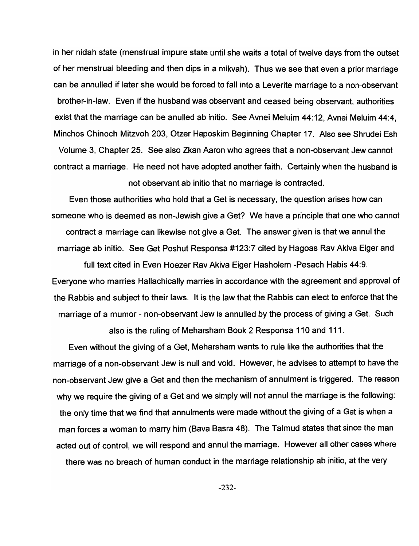in her nidah state (menstrual impure state until she waits a total of twelve days from the outset of her menstrual bleeding and then dips in a mikvah). Thus we see that even a prior marriage can be annulled if later she would be forced to fall into a Leverite marriage to a non-observant brother-in-law. Even if the husband was observant and ceased being observant, authorities exist that the marriage can be anulled ab initio. See Avnei Meluim 44:12, Avnei Meluim 44:4, Minchos Chinoch Mitzvoh 203, Otzer Haposkim Beginning Chapter 17. Also see Shrudei Esh Volume 3, Chapter 25. See also Zkan Aaron who agrees that a non-observant Jew cannot contract a marriage. He need not have adopted another faith. Certainly when the husband is

not observant ab initio that no marriage is contracted.

Even those authorities who hold that a Get is necessary, the question arises how can someone who is deemed as non-Jewish give a Get? We have a principle that one who cannot contract a marriage can likewise not give a Get. The answer given is that we annul the marriage ab initio. See Get Poshut Responsa #123:7 cited by Hagoas Rav Akiva Eiger and

full text cited in Even Hoezer Rav Akiva Eiger Hasholem -Pesach Habis 44:9. Everyone who marries Hallachically marries in accordance with the agreement and approval of the Rabbis and subject to their laws. It is the law that the Rabbis can elect to enforce that the marriage of a mumor - non-observant Jew is annulled by the process of giving a Get. Such

also is the ruling of Meharsham Book 2 Responsa 110 and 111.

Even without the giving of a Get, Meharsham wants to rule like the authorities that the marriage of a non-observant Jew is null and void. However, he advises to attempt to have the non-observant Jew give a Get and then the mechanism of annulment is triggered. The reason why we require the giving of a Get and we simply will not annul the marriage is the following: the only time that we find that annulments were made without the giving of a Get is when a man forces a woman to marry him (Bava Basra 48). The Talmud states that since the man acted out of control, we will respond and annul the marriage. However all other cases where there was no breach of human conduct in the marriage relationship ab initio, at the very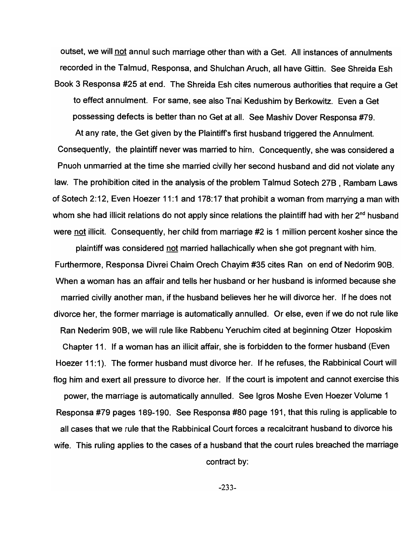outset, we will not annul such marriage other than with a Get. All instances of annulments recorded in the Talmud, Responsa, and Shulchan Aruch, all have Gittin. See Shreida Esh Book 3 Responsa #25 at end. The Shreida Esh cites numerous authorities that require a Get to effect annulment. For same, see also Tnai Kedushim by Berkowitz. Even a Get possessing defects is better than no Get at all. See Mashiv Dover Responsa #79.

At any rate, the Get given by the Plaintiffs first husband triggered the Annulment. Consequently, the plaintiff never was married to him. Concequently, she was considered a Pnuoh unmarried at the time she married civilly her second husband and did not violate any law. The prohibition cited in the analysis of the problem Talmud Sotech 27B , Rambam Laws of Sotech 2:12, Even Hoezer 11:1 and 178:17 that prohibit a woman from marrying a man with whom she had illicit relations do not apply since relations the plaintiff had with her  $2^{nd}$  husband were not illicit. Consequently, her child from marriage #2 is 1 million percent kosher since the

plaintiff was considered not married hallachically when she got pregnant with him. Furthermore, Responsa Divrei Chaim Orech Chayim #35 cites Ran on end of Nedorim 90B. When a woman has an affair and tells her husband or her husband is informed because she married civilly another man, if the husband believes her he will divorce her. If he does not divorce her, the former marriage is automatically annulled. Or else, even if we do not rule like Ran Nederim 90B, we will rule like Rabbenu Yeruchim cited at beginning Otzer Hoposkim Chapter 11. If a woman has an illicit affair, she is forbidden to the former husband (Even Hoezer 11:1). The former husband must divorce her. If he refuses, the Rabbinical Court will flog him and exert all pressure to divorce her. If the court is impotent and cannot exercise this power, the marriage is automatically annulled. See Igros Moshe Even Hoezer Volume 1 Responsa #79 pages 189-190. See Responsa #80 page 191, that this ruling is applicable to all cases that we rule that the Rabbinical Court forces a recalcitrant husband to divorce his wife. This ruling applies to the cases of a husband that the court rules breached the marriage

contract by: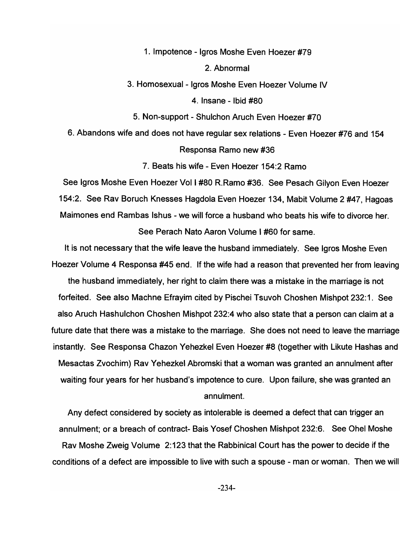1. Impotence - Igros Moshe Even Hoezer #79

2. Abnormal

3. Homosexual - Igros Moshe Even Hoezer Volume IV

4. Insane - Ibid #80

5. Non-support - Shulchon Aruch Even Hoezer #70

6. Abandons wife and does not have regular sex relations - Even Hoezer #76 and 154 Responsa Ramo new #36

7. Beats his wife - Even Hoezer 154:2 Ramo

See Igros Moshe Even Hoezer Vol I #80 R.Ramo #36. See Pesach Gilyon Even Hoezer 154:2. See Rav Boruch Knesses Hagdola Even Hoezer 134, Mabit Volume 2 #47, Hagoas Maimones end Rambas Ishus - we will force a husband who beats his wife to divorce her. See Perach Nato Aaron Volume I #60 for same.

It is not necessary that the wife leave the husband immediately. See Igros Moshe Even Hoezer Volume 4 Responsa #45 end. If the wife had a reason that prevented her from leaving the husband immediately, her right to claim there was a mistake in the marriage is not forfeited. See also Machne Efrayim cited by Pischei Tsuvoh Choshen Mishpot 232: 1. See also Aruch Hashulchon Choshen Mishpot 232:4 who also state that a person can claim at a future date that there was a mistake to the marriage. She does not need to leave the marriage instantly. See Responsa Chazon Yehezkel Even Hoezer #8 (together with Likute Hashas and Mesactas Zvochim) Rav Yehezkel Abromski that a woman was granted an annulment after waiting four years for her husband's impotence to cure. Upon failure, she was granted an annulment.

Any defect considered by society as intolerable is deemed a defect that can trigger an annulment; or a breach of contract- Bais Yosef Choshen Mishpot 232:6. See Ohel Moshe Rav Moshe Zweig Volume 2: 123 that the Rabbinical Court has the power to decide if the conditions of a defect are impossible to live with such a spouse - man or woman. Then we will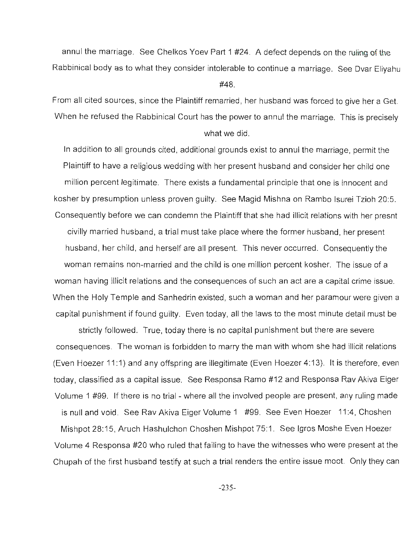annul the marriage. See Chelkos Yoev Part 1 #24. A defect depends on the ruling of the Rabbinical body as to what they consider intolerable to continue a marriage. See Dvar Eliyahu #48.

From all cited sources, since the Plaintiff remarried, her husband was forced to give her a Get. When he refused the Rabbinical Court has the power to annul the marriage. This is precisely what we did.

In addition to all grounds cited, additional grounds exist to annul the marriage, permit the Plaintiff to have a religious wedding with her present husband and consider her child one million percent legitimate. There exists a fundamental principle that one is innocent and kosher by presumption unless proven guilty. See Magid Mishna on Rambo Isurei Tzioh 20:5. Consequently before we can condemn the Plaintiff that she had illicit relations with her presnt civilly married husband, a trial must take place where the former husband, her present husband, her child, and herself are all present. This never occurred. Consequently the woman remains non-married and the child is one million percent kosher. The issue of a woman having illicit relations and the consequences of such an act are a capital crime issue. When the Holy Temple and Sanhedrin existed, such a woman and her paramour were given a capital punishment if found guilty. Even today, all the laws to the most minute detail must be

strictly followed. True, today there is no capital punishment but there are severe consequences. The woman is forbidden to marry the man with whom she had illicit relations (Even Hoezer 11:1) and any offspring are illegitimate (Even Hoezer 4:13). It is therefore, even today, classified as a capital issue. See Responsa Ramo #12 and Responsa Rav Akiva Eiger Volume 1 #99. If there is no trial - where all the involved people are present, any ruling made is null and void. See Rav Akiva Eiger Volume 1 #99. See Even Hoezer 11:4, Choshen Mishpot 28:15, Aruch Hashulchon Choshen Mishpot 75:1. See Igros Moshe Even Hoezer Volume 4 Responsa #20 who ruled that failing to have the witnesses who were present at the Chupah of the first husband testify at such a trial renders the entire issue moot. Only they can

-235-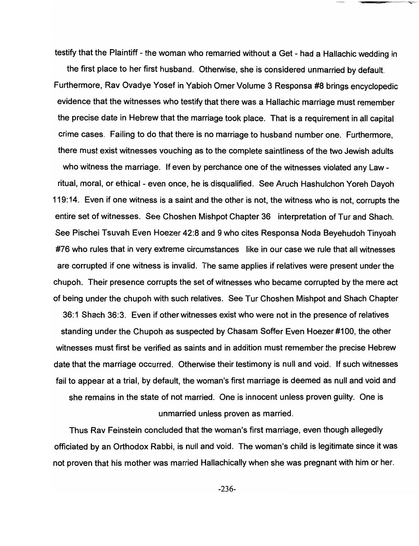testify that the Plaintiff - the woman who remarried without a Get - had a Hallachic wedding in

the first place to her first husband. Otherwise, she is considered unmarried by default. Furthermore, Rav Ovadye Yosef in Yabioh Omer Volume 3 Responsa #8 brings encyclopedic evidence that the witnesses who testify that there was a Hallachic marriage must remember the precise date in Hebrew that the marriage took place. That is a requirement in all capital crime cases. Failing to do that there is no marriage to husband number one. Furthermore, there must exist witnesses vouching as to the complete saintliness of the two Jewish adults who witness the marriage. If even by perchance one of the witnesses violated any Law ritual, moral, or ethical- even once, he is disqualified. See Aruch Hashulchon Yoreh Dayoh 119: 14. Even if one witness is a saint and the other is not, the witness who is not, corrupts the entire set of witnesses. See Choshen Mishpot Chapter 36 interpretation of Tur and Shach. See Pischei Tsuvah Even Hoezer 42:8 and 9 who cites Responsa Noda 8eyehudoh Tinyoah #76 who rules that in very extreme circumstances like in our case we rule that all witnesses are corrupted if one witness is invalid. The same applies if relatives were present under the chupoh. Their presence corrupts the set of witnesses who became corrupted by the mere act of being under the chupoh with such relatives. See Tur Choshen Mishpot and Shach Chapter

36: 1 Shach 36:3. Even if other witnesses exist who were not in the presence of relatives standing under the Chupoh as suspected by Chasam Soffer Even Hoezer #100, the other witnesses must first be verified as saints and in addition must remember the precise Hebrew date that the marriage occurred. Otherwise their testimony is null and void. If such witnesses fail to appear at a trial, by default, the woman's first marriage is deemed as null and void and she remains in the state of not married. One is innocent unless proven guilty. One is unmarried unless proven as married.

Thus Rav Feinstein concluded that the woman's first marriage, even though allegedly officiated by an Orthodox Rabbi, is null and void. The woman's child is legitimate since it was not proven that his mother was married Hallachically when she was pregnant with him or her.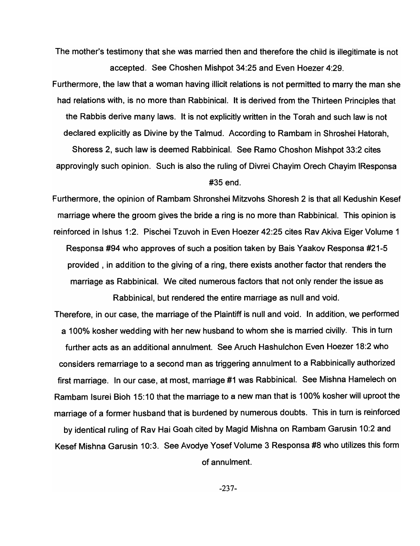The mother's testimony that she was married then and therefore the child is illegitimate is not accepted. See Choshen Mishpot 34:25 and Even Hoezer 4:29.

Furthermore, the law that a woman having illicit relations is not permitted to marry the man she had relations with, is no more than Rabbinical. It is derived from the Thirteen Principles that the Rabbis derive many laws. It is not explicitly written in the Torah and such law is not declared explicitly as Divine by the Talmud. According to Rambam in Shroshei Hatorah,

Shoress 2, such law is deemed Rabbinical. See Ramo Choshon Mishpot 33:2 cites approvingly such opinion. Such is also the ruling of Divrei Chayim Orech Chayim IResponsa #35 end.

Furthermore, the opinion of Rambam Shronshei Mitzvohs Shoresh 2 is that all Kedushin Kesef marriage where the groom gives the bride a ring is no more than Rabbinical. This opinion is reinforced in Ishus 1 :2. Pischei Tzuvoh in Even Hoezer 42:25 cites Rav Akiva Eiger Volume 1 Responsa #94 who approves of such a position taken by Bais Yaakov Responsa #21-5 provided, in addition to the giving of a ring, there exists another factor that renders the marriage as Rabbinical. We cited numerous factors that not only render the issue as Rabbinical, but rendered the entire marriage as null and void.

Therefore, in our case, the marriage of the Plaintiff is null and void. In addition, we performed a 100% kosher wedding with her new husband to whom she is married civilly. This in turn further acts as an additional annulment. See Aruch Hashulchon Even Hoezer 18:2 who considers remarriage to a second man as triggering annulment to a Rabbinically authorized first marriage. In our case, at most, marriage #1 was Rabbinical. See Mishna Hamelech on Rambam Isurei Bioh 15:10 that the marriage to a new man that is 100% kosher will uproot the marriage of a former husband that is burdened by numerous doubts. This in turn is reinforced

by identical ruling of Rav Hai Goah cited by Magid Mishna on Rambam Garusin 10:2 and Kesef Mishna Garusin 10:3. See Avodye Yosef Volume 3 Responsa #8 who utilizes this form of annulment.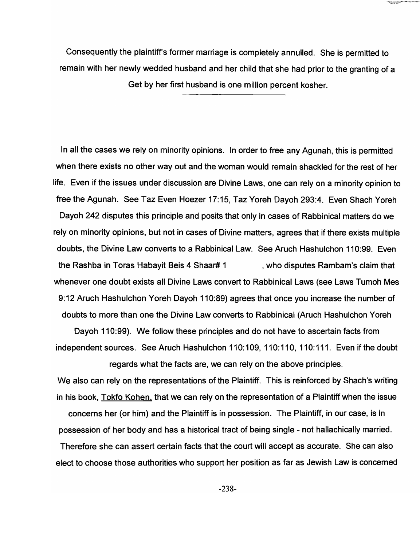Consequently the plaintiff's former marriage is completely annulled. She is permitted to remain with her newly wedded husband and her child that she had prior to the granting of a Get by her first husband is one million percent kosher.

raqayan yar

In all the cases we rely on minority opinions. In order to free any Agunah, this is permitted when there exists no other way out and the woman would remain shackled for the rest of her life. Even if the issues under discussion are Divine Laws, one can rely on a minority opinion to free the Agunah. See Taz Even Hoezer 17:15, Taz Yoreh Dayoh 293:4. Even Shach Yoreh Dayoh 242 disputes this principle and posits that only in cases of Rabbinical matters do we rely on minority opinions, but not in cases of Divine matters, agrees that if there exists multiple doubts, the Divine Law converts to a Rabbinical Law. See Aruch Hashulchon 110:99. Even the Rashba in Toras Habayit Beis 4 Shaar# 1 , who disputes Rambam's claim that whenever one doubt exists all Divine Laws convert to Rabbinical Laws (see Laws Tumoh Mes 9:12 Aruch Hashulchon Yoreh Dayoh 110:89) agrees that once you increase the number of doubts to more than one the Divine Law converts to Rabbinical (Aruch Hashulchon Yoreh

Dayoh 110:99). We follow these principles and do not have to ascertain facts from independent sources. See Aruch Hashulchon 110:109, 110:110, 110:111. Even if the doubt

regards what the facts are, we can rely on the above principles.

We also can rely on the representations of the Plaintiff. This is reinforced by Shach's writing in his book, Tokfo Kohen. that we can rely on the representation of a Plaintiff when the issue concerns her (or him) and the Plaintiff is in possession. The Plaintiff, in our case, is in possession of her body and has a historical tract of being single - not hallachically married.

Therefore she can assert certain facts that the court will accept as accurate. She can also elect to choose those authorities who support her position as far as Jewish Law is concerned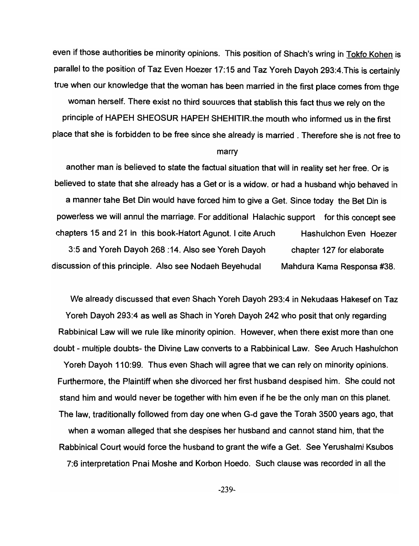even if those authorities be minority opinions. This position of Shach's wring in Tokfo Kohen is parallel to the position of Taz Even Hoezer 17:15 and Taz Yoreh Dayoh 293:4.This is certainly true when our knowledge that the woman has been married in the first place comes from thge woman herself. There exist no third souurces that stablish this fact thus we rely on the principle of HAPEH SHEOSUR HAPEH SHEHITIR.the mouth who informed us in the first place that she is forbidden to be free since she already is married . Therefore she is not free to

#### marry

another man is believed to state the factual situation that will in reality set her free. Or is believed to state that she already has a Get or is a widow. or had a husband whjo behaved in a manner tahe Bet Din would have forced him to give a Get. Since today the Bet Din is powerless we will annul the marriage. For additional Halachic support for this concept see chapters 15 and 21 in this book-Hatort Agunot. I cite Aruch Hashulchon Even Hoezer 3:5 and Yoreh Dayoh 268 :14. Also see Yoreh Dayoh chapter 127 for elaborate discussion of this principle. Also see Nodaeh 8eyehudal Mahdura Kama Responsa #38.

We already discussed that even Shach Yoreh Dayoh 293:4 in Nekudaas Hakesef on Taz Yoreh Dayoh 293:4 as well as Shach in Yoreh Dayoh 242 who posit that only regarding Rabbinical Law will we rule like minority opinion. However, when there exist more than one doubt - multiple doubts- the Divine Law converts to a Rabbinical Law. See Aruch Hashulchon Yoreh Dayoh 110:99. Thus even Shach will agree that we can rely on minority opinions. Furthermore, the Plaintiff when she divorced her first husband despised him. She could not stand him and would never be together with him even if he be the only man on this planet. The law, traditionally followed from day one when G-d gave the Torah 3500 years ago, that when a woman alleged that she despises her husband and cannot stand him, that the Rabbinical Court would force the husband to grant the wife a Get. See Yerushalmi Ksubos 7:6 interpretation Pnai Moshe and Korbon Hoedo. Such clause was recorded in all the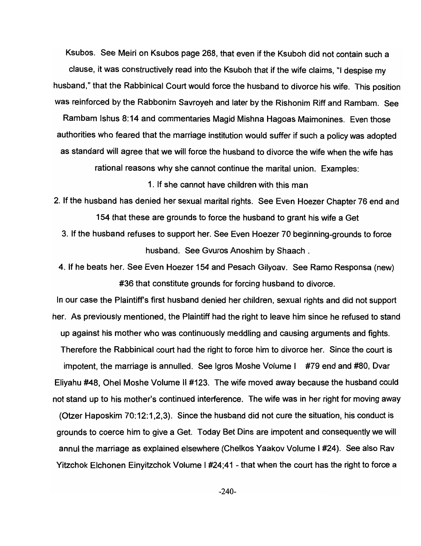Ksubos. See Meiri on Ksubos page 268, that even if the Ksuboh did not contain such a clause, it was constructively read into the Ksuboh that if the wife claims, "I despise my husband," that the Rabbinical Court would force the husband to divorce his wife. This position was reinforced by the Rabbonim Savroyeh and later by the Rishonim Riff and Rambam. See

Rambam Ishus 8:14 and commentaries Magid Mishna Hagoas Maimonines. Even those authorities who feared that the marriage institution would suffer if such a policy was adopted as standard will agree that we will force the husband to divorce the wife when the wife has rational reasons why she cannot continue the marital union. Examples:

1. If she cannot have children with this man

2. If the husband has denied her sexual marital rights. See Even Hoezer Chapter 76 end and 154 that these are grounds to force the husband to grant his wife a Get 3. If the husband refuses to support her. See Even Hoezer 70 beginning-grounds to force

husband. See Gvuros Anoshim by Shaach .

4. If he beats her. See Even Hoezer 154 and Pesach Gilyoav. See Ramo Responsa (new) #36 that constitute grounds for forcing husband to divorce.

In our case the Plaintiff's first husband denied her children, sexual rights and did not support her. As previously mentioned, the Plaintiff had the right to leave him since he refused to stand up against his mother who was continuously meddling and causing arguments and fights. Therefore the Rabbinical court had the right to force him to divorce her. Since the court is impotent, the marriage is annulled. See Igros Moshe Volume I #79 end and #80, Dvar Eliyahu #48, Ohel Moshe Volume II #123. The wife moved away because the husband could not stand up to his mother's continued interference. The wife was in her right for moving away (Otzer Haposkim 70: 12: 1,2,3). Since the husband did not cure the situation, his conduct is grounds to coerce him to give a Get. Today Bet Dins are impotent and consequently we will annul the marriage as explained elsewhere (Chelkos Yaakov Volume I #24). See also Rav Yitzchok Elchonen Einyitzchok Volume I #24;41 - that when the court has the right to force a

-240-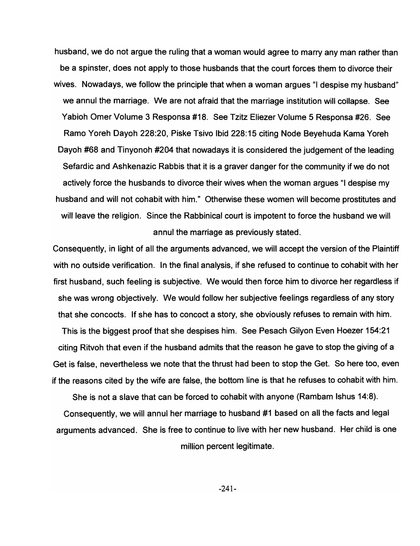husband, we do not argue the ruling that a woman would agree to marry any man rather than be a spinster, does not apply to those husbands that the court forces them to divorce their wives. Nowadays, we follow the principle that when a woman argues "I despise my husband" we annul the marriage. We are not afraid that the marriage institution will collapse. See Yabioh Omer Volume 3 Responsa #18. See Tzitz Eliezer Volume 5 Responsa #26. See Ramo Yoreh Dayoh 228:20, Piske Tsivo Ibid 228:15 citing Node 8eyehuda Kama Yoreh Dayoh #68 and Tinyonoh #204 that nowadays it is considered the judgement of the leading Sefardic and Ashkenazic Rabbis that it is a graver danger for the community if we do not actively force the husbands to divorce their wives when the woman argues "I despise my husband and will not cohabit with him." Otherwise these women will become prostitutes and will leave the religion. Since the Rabbinical court is impotent to force the husband we will annul the marriage as previously stated.

Consequently, in light of all the arguments advanced, we will accept the version of the Plaintiff with no outside verification. In the final analysis, if she refused to continue to cohabit with her first husband, such feeling is subjective. We would then force him to divorce her regardless if she was wrong objectively. We would follow her subjective feelings regardless of any story that she concocts. If she has to concoct a story, she obviously refuses to remain with him.

This is the biggest proof that she despises him. See Pesach Gilyon Even Hoezer 154:21 citing Ritvoh that even if the husband admits that the reason he gave to stop the giving of a Get is false, nevertheless we note that the thrust had been to stop the Get. So here too, even if the reasons cited by the wife are false, the bottom line is that he refuses to cohabit with him.

She is not a slave that can be forced to cohabit with anyone (Rambam Ishus 14:8).

Consequently, we will annul her marriage to husband #1 based on all the facts and legal arguments advanced. She is free to continue to live with her new husband. Her child is one million percent legitimate.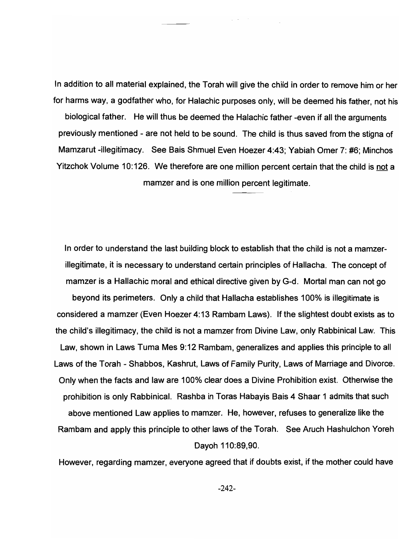In addition to all material explained, the Torah will give the child in order to remove him or her for harms way, a godfather who, for Halachic purposes only, will be deemed his father, not his biological father. He will thus be deemed the Halachic father -even if all the arguments previously mentioned - are not held to be sound. The child is thus saved from the stigna of Mamzarut -illegitimacy. See Bais Shmuel Even Hoezer 4:43; Yabiah Omer 7: #6; Minchos Yitzchok Volume 10:126. We therefore are one million percent certain that the child is not a mamzer and is one million percent legitimate.

In order to understand the last building block to establish that the child is not a mamzerillegitimate, it is necessary to understand certain principles of Hallacha. The concept of mamzer is a Hallachic moral and ethical directive given by G-d. Mortal man can not go beyond its perimeters. Only a child that Hallacha establishes 100% is illegitimate is considered a mamzer (Even Hoezer 4: 13 Rambam Laws). If the slightest doubt exists as to the child's illegitimacy, the child is not a mamzer from Divine Law, only Rabbinical Law. This Law, shown in Laws Tuma Mes 9:12 Rambam, generalizes and applies this principle to all Laws of the Torah - Shabbos, Kashrut, Laws of Family Purity, Laws of Marriage and Divorce. Only when the facts and law are 100*%* clear does a Divine Prohibition exist. Otherwise the prohibition is only Rabbinical. Rashba in Toras Habayis Bais 4 Shaar 1 admits that such above mentioned Law applies to mamzer. He, however, refuses to generalize like the Rambam and apply this principle to other laws of the Torah. See Aruch Hashulchon Yoreh Dayoh 110:89,90.

However, regarding mamzer, everyone agreed that if doubts exist, if the mother could have

-242-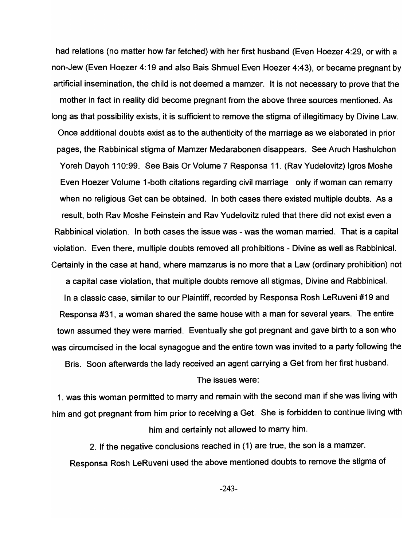had relations (no matter how far fetched) with her first husband (Even Hoezer 4:29, or with a non-Jew (Even Hoezer 4: 19 and also Bais Shmuel Even Hoezer 4:43), or became pregnant by artificial insemination, the child is not deemed a mamzer. It is not necessary to prove that the mother in fact in reality did become pregnant from the above three sources mentioned. As long as that possibility exists, it is sufficient to remove the stigma of illegitimacy by Divine Law. Once additional doubts exist as to the authenticity of the marriage as we elaborated in prior pages, the Rabbinical stigma of Mamzer Medarabonen disappears. See Aruch Hashulchon Yoreh Dayoh 110:99. See Bais Or Volume 7 Responsa 11. (Rav Yudelovitz) Igros Moshe Even Hoezer Volume 1-both citations regarding civil marriage only if woman can remarry when no religious Get can be obtained. In both cases there existed multiple doubts. As a result, both Rav Moshe Feinstein and Rav Yudelovitz ruled that there did not exist even a Rabbinical violation. In both cases the issue was - was the woman married. That is a capital violation. Even there, multiple doubts removed all prohibitions - Divine as well as Rabbinical. Certainly in the case at hand, where mamzarus is no more that a Law (ordinary prohibition) not

a capital case violation, that multiple doubts remove all stigmas, Divine and Rabbinical. In a classic case, similar to our Plaintiff, recorded by Responsa Rosh LeRuveni #19 and Responsa #31, a woman shared the same house with a man for several years. The entire town assumed they were married. Eventually she got pregnant and gave birth to a son who was circumcised in the local synagogue and the entire town was invited to a party following the Bris. Soon afterwards the lady received an agent carrying a Get from her first husband.

### The issues were:

1. was this woman permitted to marry and remain with the second man if she was living with him and got pregnant from him prior to receiving a Get. She is forbidden to continue living with him and certainly not allowed to marry him.

2. If the negative conclusions reached in (1) are true, the son is a mamzer. Responsa Rosh LeRuveni used the above mentioned doubts to remove the stigma of

-243-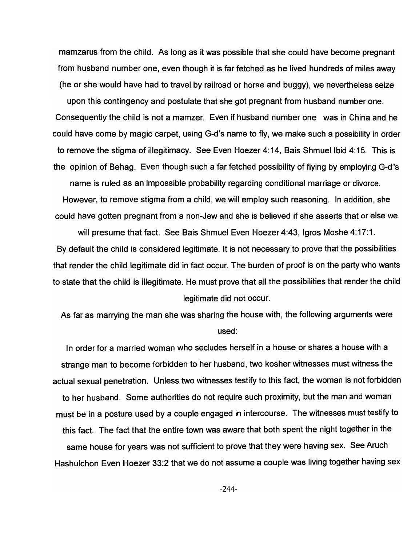mamzarus from the child. As long as it was possible that she could have become pregnant from husband number one, even though it is far fetched as he lived hundreds of miles away (he or she would have had to travel by railroad or horse and buggy), we nevertheless seize

upon this contingency and postulate that she got pregnant from husband number one. Consequently the child is not a mamzer. Even if husband number one was in China and he could have come by magic carpet, using G-d's name to fly, we make such a possibility in order to remove the stigma of illegitimacy. See Even Hoezer 4:14, Bais Shmuel Ibid 4:15. This is the opinion of Behag. Even though such a far fetched possibility of flying by employing G-d"s

name is ruled as an impossible probability regarding conditional marriage or divorce. However, to remove stigma from a child, we will employ such reasoning. In addition, she could have gotten pregnant from a non-Jew and she is believed if she asserts that or else we

will presume that fact. See Bais Shmuel Even Hoezer 4:43, Igros Moshe 4:17:1. By default the child is considered legitimate. It is not necessary to prove that the possibilities that render the child legitimate did in fact occur. The burden of proof is on the party who wants to state that the child is illegitimate. He must prove that all the possibilities that render the child legitimate did not occur.

As far as marrying the man she was sharing the house with, the following arguments were used:

In order for a married woman who secludes herself in a house or shares a house with a strange man to become forbidden to her husband, two kosher witnesses must witness the actual sexual penetration. Unless two witnesses testify to this fact, the woman is not forbidden to her husband. Some authorities do not require such proximity, but the man and woman must be in a posture used by a couple engaged in intercourse. The witnesses must testify to this fact. The fact that the entire town was aware that both spent the night together in the same house for years was not sufficient to prove that they were having sex. See Aruch Hashulchon Even Hoezer 33:2 that we do not assume a couple was living together having sex

-244-